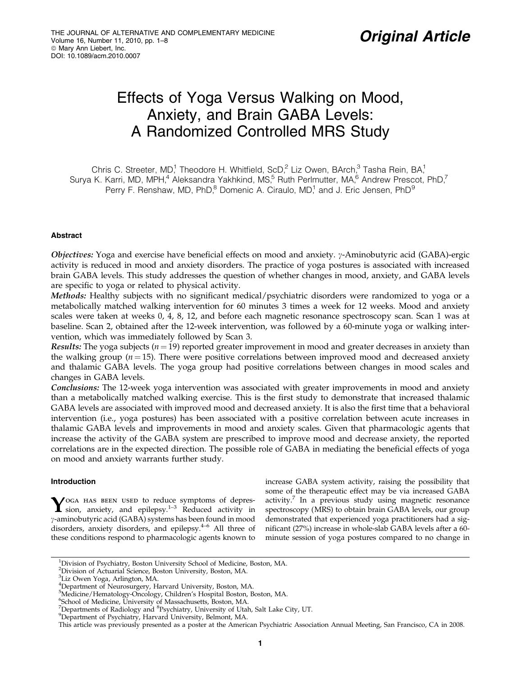# Effects of Yoga Versus Walking on Mood, Anxiety, and Brain GABA Levels: A Randomized Controlled MRS Study

Chris C. Streeter, MD,<sup>1</sup> Theodore H. Whitfield, ScD,<sup>2</sup> Liz Owen, BArch,<sup>3</sup> Tasha Rein, BA,<sup>1</sup> Surya K. Karri, MD, MPH,<sup>4</sup> Aleksandra Yakhkind, MS,<sup>5</sup> Ruth Perlmutter, MA,<sup>6</sup> Andrew Prescot, PhD,<sup>7</sup> Perry F. Renshaw, MD, PhD, $^8$  Domenic A. Ciraulo, MD,<sup>1</sup> and J. Eric Jensen, PhD $^9$ 

# **Abstract**

Objectives: Yoga and exercise have beneficial effects on mood and anxiety.  $\gamma$ -Aminobutyric acid (GABA)-ergic activity is reduced in mood and anxiety disorders. The practice of yoga postures is associated with increased brain GABA levels. This study addresses the question of whether changes in mood, anxiety, and GABA levels are specific to yoga or related to physical activity.

Methods: Healthy subjects with no significant medical/psychiatric disorders were randomized to yoga or a metabolically matched walking intervention for 60 minutes 3 times a week for 12 weeks. Mood and anxiety scales were taken at weeks 0, 4, 8, 12, and before each magnetic resonance spectroscopy scan. Scan 1 was at baseline. Scan 2, obtained after the 12-week intervention, was followed by a 60-minute yoga or walking intervention, which was immediately followed by Scan 3.

Results: The yoga subjects  $(n = 19)$  reported greater improvement in mood and greater decreases in anxiety than the walking group  $(n = 15)$ . There were positive correlations between improved mood and decreased anxiety and thalamic GABA levels. The yoga group had positive correlations between changes in mood scales and changes in GABA levels.

**Conclusions:** The 12-week yoga intervention was associated with greater improvements in mood and anxiety than a metabolically matched walking exercise. This is the first study to demonstrate that increased thalamic GABA levels are associated with improved mood and decreased anxiety. It is also the first time that a behavioral intervention (i.e., yoga postures) has been associated with a positive correlation between acute increases in thalamic GABA levels and improvements in mood and anxiety scales. Given that pharmacologic agents that increase the activity of the GABA system are prescribed to improve mood and decrease anxiety, the reported correlations are in the expected direction. The possible role of GABA in mediating the beneficial effects of yoga on mood and anxiety warrants further study.

## Introduction

 $\boldsymbol{Y}$ oga has been used to reduce symptoms of depres-<br>sion, anxiety, and epilepsy.<sup>1–3</sup> Reduced activity in g-aminobutyric acid (GABA) systems has been found in mood disorders, anxiety disorders, and epilepsy. $4-6$  All three of these conditions respond to pharmacologic agents known to increase GABA system activity, raising the possibility that some of the therapeutic effect may be via increased GABA activity.<sup>7</sup> In a previous study using magnetic resonance spectroscopy (MRS) to obtain brain GABA levels, our group demonstrated that experienced yoga practitioners had a significant (27%) increase in whole-slab GABA levels after a 60 minute session of yoga postures compared to no change in

<sup>&</sup>lt;sup>1</sup>Division of Psychiatry, Boston University School of Medicine, Boston, MA.

<sup>&</sup>lt;sup>2</sup>Division of Actuarial Science, Boston University, Boston, MA.

<sup>&</sup>lt;sup>3</sup>Liz Owen Yoga, Arlington, MA.

<sup>4</sup> Department of Neurosurgery, Harvard University, Boston, MA. 5 Medicine/Hematology-Oncology, Children's Hospital Boston, Boston, MA.

<sup>6</sup> School of Medicine, University of Massachusetts, Boston, MA.

 $\sigma^7$ Departments of Radiology and  $\delta$ Psychiatry, University of Utah, Salt Lake City, UT.<br><sup>9</sup>Department of Psychiatry, Harvard University, Belmont, MA

Department of Psychiatry, Harvard University, Belmont, MA.

This article was previously presented as a poster at the American Psychiatric Association Annual Meeting, San Francisco, CA in 2008.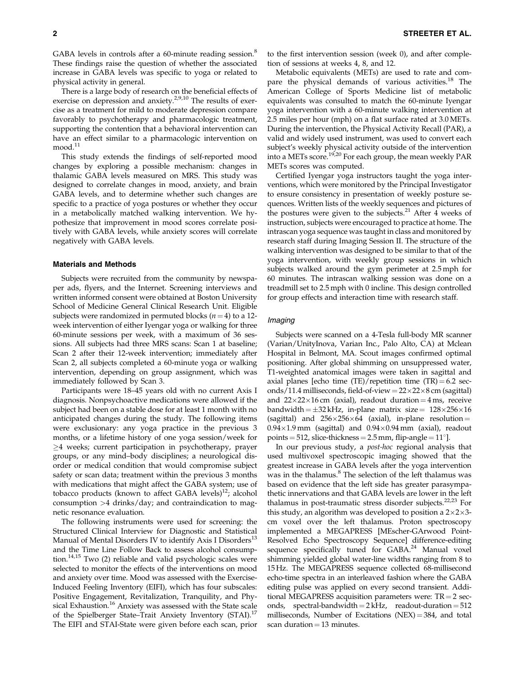GABA levels in controls after a 60-minute reading session.<sup>8</sup> These findings raise the question of whether the associated increase in GABA levels was specific to yoga or related to physical activity in general.

There is a large body of research on the beneficial effects of exercise on depression and anxiety.<sup>2,9,10</sup> The results of exercise as a treatment for mild to moderate depression compare favorably to psychotherapy and pharmacologic treatment, supporting the contention that a behavioral intervention can have an effect similar to a pharmacologic intervention on  $mod.<sup>11</sup>$ 

This study extends the findings of self-reported mood changes by exploring a possible mechanism: changes in thalamic GABA levels measured on MRS. This study was designed to correlate changes in mood, anxiety, and brain GABA levels, and to determine whether such changes are specific to a practice of yoga postures or whether they occur in a metabolically matched walking intervention. We hypothesize that improvement in mood scores correlate positively with GABA levels, while anxiety scores will correlate negatively with GABA levels.

# Materials and Methods

Subjects were recruited from the community by newspaper ads, flyers, and the Internet. Screening interviews and written informed consent were obtained at Boston University School of Medicine General Clinical Research Unit. Eligible subjects were randomized in permuted blocks ( $n = 4$ ) to a 12week intervention of either Iyengar yoga or walking for three 60-minute sessions per week, with a maximum of 36 sessions. All subjects had three MRS scans: Scan 1 at baseline; Scan 2 after their 12-week intervention; immediately after Scan 2, all subjects completed a 60-minute yoga or walking intervention, depending on group assignment, which was immediately followed by Scan 3.

Participants were 18–45 years old with no current Axis I diagnosis. Nonpsychoactive medications were allowed if the subject had been on a stable dose for at least 1 month with no anticipated changes during the study. The following items were exclusionary: any yoga practice in the previous 3 months, or a lifetime history of one yoga session/week for  $\geq$ 4 weeks; current participation in psychotherapy, prayer groups, or any mind–body disciplines; a neurological disorder or medical condition that would compromise subject safety or scan data; treatment within the previous 3 months with medications that might affect the GABA system; use of tobacco products (known to affect GABA levels) $^{12}$ ; alcohol consumption >4 drinks/day; and contraindication to magnetic resonance evaluation.

The following instruments were used for screening: the Structured Clinical Interview for Diagnostic and Statistical Manual of Mental Disorders IV to identify Axis I Disorders<sup>13</sup> and the Time Line Follow Back to assess alcohol consumption.<sup>14,15</sup> Two (2) reliable and valid psychologic scales were selected to monitor the effects of the interventions on mood and anxiety over time. Mood was assessed with the Exercise-Induced Feeling Inventory (EIFI), which has four subscales: Positive Engagement, Revitalization, Tranquility, and Physical Exhaustion.<sup>16</sup> Anxiety was assessed with the State scale of the Spielberger State–Trait Anxiety Inventory (STAI).<sup>17</sup> The EIFI and STAI-State were given before each scan, prior to the first intervention session (week 0), and after completion of sessions at weeks 4, 8, and 12.

Metabolic equivalents (METs) are used to rate and compare the physical demands of various activities.<sup>18</sup> The American College of Sports Medicine list of metabolic equivalents was consulted to match the 60-minute Iyengar yoga intervention with a 60-minute walking intervention at 2.5 miles per hour (mph) on a flat surface rated at 3.0 METs. During the intervention, the Physical Activity Recall (PAR), a valid and widely used instrument, was used to convert each subject's weekly physical activity outside of the intervention into a METs score.19,20 For each group, the mean weekly PAR METs scores was computed.

Certified Iyengar yoga instructors taught the yoga interventions, which were monitored by the Principal Investigator to ensure consistency in presentation of weekly posture sequences. Written lists of the weekly sequences and pictures of the postures were given to the subjects.<sup>21</sup> After  $4$  weeks of instruction, subjects were encouraged to practice at home. The intrascan yoga sequence was taught in class and monitored by research staff during Imaging Session II. The structure of the walking intervention was designed to be similar to that of the yoga intervention, with weekly group sessions in which subjects walked around the gym perimeter at 2.5 mph for 60 minutes. The intrascan walking session was done on a treadmill set to 2.5 mph with 0 incline. This design controlled for group effects and interaction time with research staff.

#### Imaging

Subjects were scanned on a 4-Tesla full-body MR scanner (Varian/UnityInova, Varian Inc., Palo Alto, CA) at Mclean Hospital in Belmont, MA. Scout images confirmed optimal positioning. After global shimming on unsuppressed water, T1-weighted anatomical images were taken in sagittal and axial planes [echo time (TE)/repetition time (TR) = 6.2 seconds/11.4 milliseconds, field-of-view =  $22\times22\times8$  cm (sagittal) and  $22 \times 22 \times 16$  cm (axial), readout duration = 4 ms, receive bandwidth =  $\pm 32$  kHz, in-plane matrix size =  $128\times256\times16$ (sagittal) and  $256\times256\times64$  (axial), in-plane resolution =  $0.94\times1.9\,\text{mm}$  (sagittal) and  $0.94\times0.94\,\text{mm}$  (axial), readout points  $= 512$ , slice-thickness  $= 2.5$  mm, flip-angle  $= 11^{\circ}$ ].

In our previous study, a post-hoc regional analysis that used multivoxel spectroscopic imaging showed that the greatest increase in GABA levels after the yoga intervention was in the thalamus.<sup>8</sup> The selection of the left thalamus was based on evidence that the left side has greater parasympathetic innervations and that GABA levels are lower in the left thalamus in post-traumatic stress disorder subjects. $22,23$  For this study, an algorithm was developed to position a  $2\times2\times3$ cm voxel over the left thalamus. Proton spectroscopy implemented a MEGAPRESS [MEscher-GArwood Point-Resolved Echo Spectroscopy Sequence] difference-editing sequence specifically tuned for GABA.<sup>24</sup> Manual voxel shimming yielded global water-line widths ranging from 8 to 15 Hz. The MEGAPRESS sequence collected 68-millisecond echo-time spectra in an interleaved fashion where the GABA editing pulse was applied on every second transient. Additional MEGAPRESS acquisition parameters were:  $TR = 2$  seconds, spectral-bandwidth  $= 2$  kHz, readout-duration  $= 512$ milliseconds, Number of Excitations (NEX) =  $384$ , and total scan duration  $= 13$  minutes.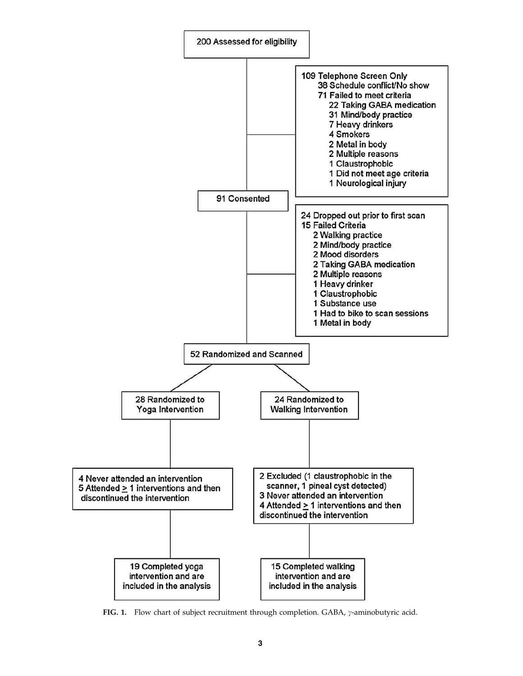

FIG. 1. Flow chart of subject recruitment through completion. GABA,  $\gamma$ -aminobutyric acid.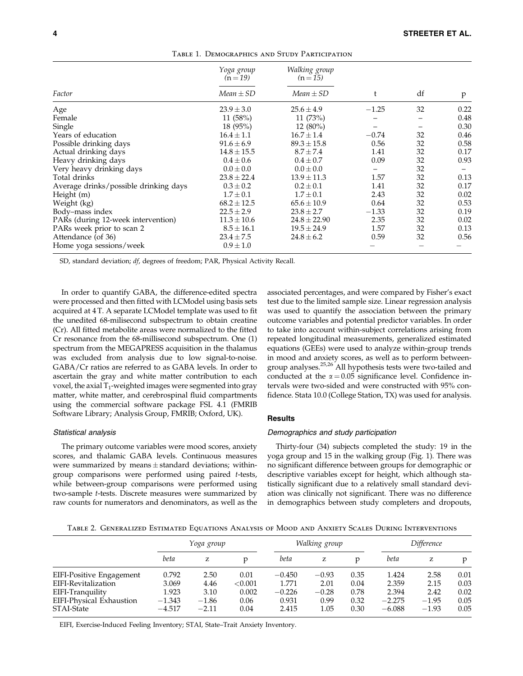|                                       | Yoga group<br>$(n=19)$ | Walking group<br>$(n=15)$ |         |    |      |
|---------------------------------------|------------------------|---------------------------|---------|----|------|
| Factor                                | $Mean \pm SD$          | $Mean \pm SD$             | t       | df | p    |
| Age                                   | $23.9 \pm 3.0$         | $25.6 \pm 4.9$            | $-1.25$ | 32 | 0.22 |
| Female                                | 11 $(58%)$             | 11 (73%)                  |         |    | 0.48 |
| Single                                | 18(95%)                | $12(80\%)$                |         |    | 0.30 |
| Years of education                    | $16.4 \pm 1.1$         | $16.7 \pm 1.4$            | $-0.74$ | 32 | 0.46 |
| Possible drinking days                | $91.6 \pm 6.9$         | $89.3 \pm 15.8$           | 0.56    | 32 | 0.58 |
| Actual drinking days                  | $14.8 \pm 15.5$        | $8.7 \pm 7.4$             | 1.41    | 32 | 0.17 |
| Heavy drinking days                   | $0.4 \pm 0.6$          | $0.4 \pm 0.7$             | 0.09    | 32 | 0.93 |
| Very heavy drinking days              | $0.0 \pm 0.0$          | $0.0 \pm 0.0$             |         | 32 |      |
| Total drinks                          | $23.8 \pm 22.4$        | $13.9 \pm 11.3$           | 1.57    | 32 | 0.13 |
| Average drinks/possible drinking days | $0.3 \pm 0.2$          | $0.2 \pm 0.1$             | 1.41    | 32 | 0.17 |
| Height (m)                            | $1.7 \pm 0.1$          | $1.7 \pm 0.1$             | 2.43    | 32 | 0.02 |
| Weight (kg)                           | $68.2 \pm 12.5$        | $65.6 \pm 10.9$           | 0.64    | 32 | 0.53 |
| Body-mass index                       | $22.5 \pm 2.9$         | $23.8 \pm 2.7$            | $-1.33$ | 32 | 0.19 |
| PARs (during 12-week intervention)    | $11.3 \pm 10.6$        | $24.8 \pm 22.90$          | 2.35    | 32 | 0.02 |
| PARs week prior to scan 2             | $8.5 \pm 16.1$         | $19.5 \pm 24.9$           | 1.57    | 32 | 0.13 |
| Attendance (of 36)                    | $23.4 \pm 7.5$         | $24.8 \pm 6.2$            | 0.59    | 32 | 0.56 |
| Home yoga sessions/week               | $0.9 \pm 1.0$          |                           |         |    |      |

Table 1. Demographics and Study Participation

SD, standard deviation; df, degrees of freedom; PAR, Physical Activity Recall.

In order to quantify GABA, the difference-edited spectra were processed and then fitted with LCModel using basis sets acquired at 4 T. A separate LCModel template was used to fit the unedited 68-milisecond subspectrum to obtain creatine (Cr). All fitted metabolite areas were normalized to the fitted Cr resonance from the 68-millisecond subspectrum. One (1) spectrum from the MEGAPRESS acquisition in the thalamus was excluded from analysis due to low signal-to-noise. GABA/Cr ratios are referred to as GABA levels. In order to ascertain the gray and white matter contribution to each voxel, the axial  $T_1$ -weighted images were segmented into gray matter, white matter, and cerebrospinal fluid compartments using the commercial software package FSL 4.1 (FMRIB Software Library; Analysis Group, FMRIB; Oxford, UK).

#### Statistical analysis

The primary outcome variables were mood scores, anxiety scores, and thalamic GABA levels. Continuous measures were summarized by means  $\pm$  standard deviations; withingroup comparisons were performed using paired t-tests, while between-group comparisons were performed using two-sample t-tests. Discrete measures were summarized by raw counts for numerators and denominators, as well as the associated percentages, and were compared by Fisher's exact test due to the limited sample size. Linear regression analysis was used to quantify the association between the primary outcome variables and potential predictor variables. In order to take into account within-subject correlations arising from repeated longitudinal measurements, generalized estimated equations (GEEs) were used to analyze within-group trends in mood and anxiety scores, as well as to perform betweengroup analyses.<sup>25,26</sup> All hypothesis tests were two-tailed and conducted at the  $\alpha = 0.05$  significance level. Confidence intervals were two-sided and were constructed with 95% confidence. Stata 10.0 (College Station, TX) was used for analysis.

## **Results**

#### Demographics and study participation

Thirty-four (34) subjects completed the study: 19 in the yoga group and 15 in the walking group (Fig. 1). There was no significant difference between groups for demographic or descriptive variables except for height, which although statistically significant due to a relatively small standard deviation was clinically not significant. There was no difference in demographics between study completers and dropouts,

Table 2. Generalized Estimated Equations Analysis of Mood and Anxiety Scales During Interventions

|                          | Yoga group |         | Walking group |          | Difference |      |          |         |      |
|--------------------------|------------|---------|---------------|----------|------------|------|----------|---------|------|
|                          | beta       | Z       |               | beta     | z          | D    | beta     | z       | p    |
| EIFI-Positive Engagement | 0.792      | 2.50    | 0.01          | $-0.450$ | $-0.93$    | 0.35 | 1.424    | 2.58    | 0.01 |
| EIFI-Revitalization      | 3.069      | 4.46    | ${<}0.001$    | 1.771    | 2.01       | 0.04 | 2.359    | 2.15    | 0.03 |
| EIFI-Tranquility         | 1.923      | 3.10    | 0.002         | $-0.226$ | $-0.28$    | 0.78 | 2.394    | 2.42    | 0.02 |
| EIFI-Physical Exhaustion | $-1.343$   | $-1.86$ | 0.06          | 0.931    | 0.99       | 0.32 | $-2.275$ | $-1.95$ | 0.05 |
| STAI-State               | $-4.517$   | $-2.11$ | 0.04          | 2.415    | 1.05       | 0.30 | $-6.088$ | $-1.93$ | 0.05 |

EIFI, Exercise-Induced Feeling Inventory; STAI, State–Trait Anxiety Inventory.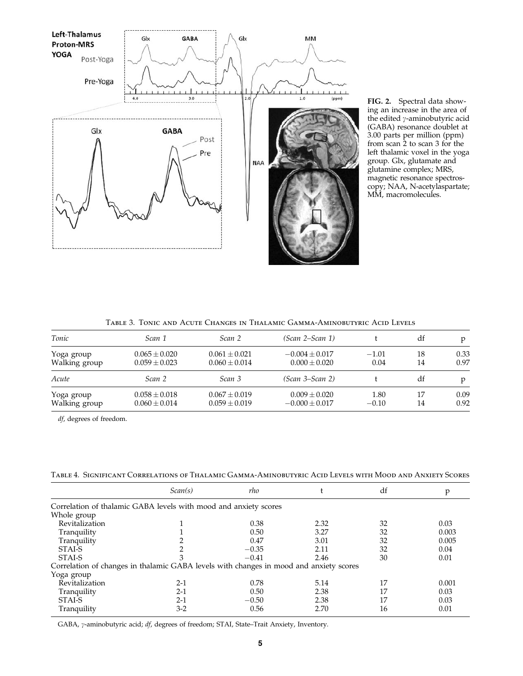

FIG. 2. Spectral data showing an increase in the area of the edited  $\gamma$ -aminobutyric acid (GABA) resonance doublet at 3.00 parts per million (ppm) from scan 2 to scan 3 for the left thalamic voxel in the yoga group. Glx, glutamate and glutamine complex; MRS, magnetic resonance spectroscopy; NAA, N-acetylaspartate; MM, macromolecules.

| TABLE 3. TONIC AND ACUTE CHANGES IN THALAMIC GAMMA-AMINOBUTYRIC ACID LEVELS |  |  |
|-----------------------------------------------------------------------------|--|--|
|                                                                             |  |  |

| Tonic         | Scan 1            | Scan 2            | (Scan 2–Scan 1)    |         | df | D    |
|---------------|-------------------|-------------------|--------------------|---------|----|------|
| Yoga group    | $0.065 \pm 0.020$ | $0.061 + 0.021$   | $-0.004 \pm 0.017$ | $-1.01$ | 18 | 0.33 |
| Walking group | $0.059 \pm 0.023$ | $0.060 \pm 0.014$ | $0.000 \pm 0.020$  | 0.04    | 14 | 0.97 |
| Acute         | Scan 2            | Scan 3            | (Scan 3–Scan 2)    |         | df |      |
| Yoga group    | $0.058 \pm 0.018$ | $0.067 \pm 0.019$ | $0.009 \pm 0.020$  | 1.80    | 17 | 0.09 |
| Walking group | $0.060 \pm 0.014$ | $0.059 \pm 0.019$ | $-0.000 \pm 0.017$ | $-0.10$ | 14 | 0.92 |

df, degrees of freedom.

Table 4. Significant Correlations of Thalamic Gamma-Aminobutyric Acid Levels with Mood and Anxiety Scores

|                                                                                        | Scan(s) | rho     |      | df | p     |
|----------------------------------------------------------------------------------------|---------|---------|------|----|-------|
| Correlation of thalamic GABA levels with mood and anxiety scores                       |         |         |      |    |       |
| Whole group                                                                            |         |         |      |    |       |
| Revitalization                                                                         |         | 0.38    | 2.32 | 32 | 0.03  |
| Tranquility                                                                            |         | 0.50    | 3.27 | 32 | 0.003 |
| Tranquility                                                                            |         | 0.47    | 3.01 | 32 | 0.005 |
| STAI-S                                                                                 |         | $-0.35$ | 2.11 | 32 | 0.04  |
| STAL <sub>S</sub>                                                                      |         | $-0.41$ | 2.46 | 30 | 0.01  |
| Correlation of changes in thalamic GABA levels with changes in mood and anxiety scores |         |         |      |    |       |
| Yoga group                                                                             |         |         |      |    |       |
| Revitalization                                                                         | $2 - 1$ | 0.78    | 5.14 |    | 0.001 |
| Tranquility                                                                            | $2-1$   | 0.50    | 2.38 |    | 0.03  |
| STAI-S                                                                                 | $2-1$   | $-0.50$ | 2.38 | 17 | 0.03  |
| Tranquility                                                                            | $3-2$   | 0.56    | 2.70 | 16 | 0.01  |

GABA, y-aminobutyric acid; df, degrees of freedom; STAI, State-Trait Anxiety, Inventory.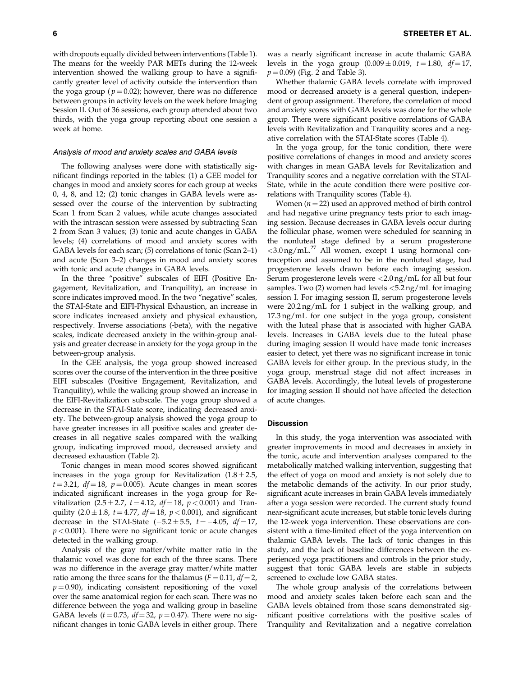with dropouts equally divided between interventions (Table 1). The means for the weekly PAR METs during the 12-week intervention showed the walking group to have a significantly greater level of activity outside the intervention than the yoga group ( $p = 0.02$ ); however, there was no difference between groups in activity levels on the week before Imaging Session II. Out of 36 sessions, each group attended about two thirds, with the yoga group reporting about one session a week at home.

#### Analysis of mood and anxiety scales and GABA levels

The following analyses were done with statistically significant findings reported in the tables: (1) a GEE model for changes in mood and anxiety scores for each group at weeks 0, 4, 8, and 12; (2) tonic changes in GABA levels were assessed over the course of the intervention by subtracting Scan 1 from Scan 2 values, while acute changes associated with the intrascan session were assessed by subtracting Scan 2 from Scan 3 values; (3) tonic and acute changes in GABA levels; (4) correlations of mood and anxiety scores with GABA levels for each scan; (5) correlations of tonic (Scan 2–1) and acute (Scan 3–2) changes in mood and anxiety scores with tonic and acute changes in GABA levels.

In the three ''positive'' subscales of EIFI (Positive Engagement, Revitalization, and Tranquility), an increase in score indicates improved mood. In the two "negative" scales, the STAI-State and EIFI-Physical Exhaustion, an increase in score indicates increased anxiety and physical exhaustion, respectively. Inverse associations (-beta), with the negative scales, indicate decreased anxiety in the within-group analysis and greater decrease in anxiety for the yoga group in the between-group analysis.

In the GEE analysis, the yoga group showed increased scores over the course of the intervention in the three positive EIFI subscales (Positive Engagement, Revitalization, and Tranquility), while the walking group showed an increase in the EIFI-Revitalization subscale. The yoga group showed a decrease in the STAI-State score, indicating decreased anxiety. The between-group analysis showed the yoga group to have greater increases in all positive scales and greater decreases in all negative scales compared with the walking group, indicating improved mood, decreased anxiety and decreased exhaustion (Table 2).

Tonic changes in mean mood scores showed significant increases in the yoga group for Revitalization  $(1.8 \pm 2.5,$  $t = 3.21$ ,  $df = 18$ ,  $p = 0.005$ ). Acute changes in mean scores indicated significant increases in the yoga group for Revitalization (2.5 ± 2.7,  $t = 4.12$ ,  $df = 18$ ,  $p < 0.001$ ) and Tranquility  $(2.0 \pm 1.8, t = 4.77, df = 18, p < 0.001)$ , and significant decrease in the STAI-State  $(-5.2 \pm 5.5, t = -4.05, df = 17,$  $p < 0.001$ ). There were no significant tonic or acute changes detected in the walking group.

Analysis of the gray matter/white matter ratio in the thalamic voxel was done for each of the three scans. There was no difference in the average gray matter/white matter ratio among the three scans for the thalamus ( $F = 0.11$ ,  $df = 2$ ,  $p = 0.90$ ), indicating consistent repositioning of the voxel over the same anatomical region for each scan. There was no difference between the yoga and walking group in baseline GABA levels ( $t = 0.73$ ,  $df = 32$ ,  $p = 0.47$ ). There were no significant changes in tonic GABA levels in either group. There was a nearly significant increase in acute thalamic GABA levels in the yoga group  $(0.009 \pm 0.019, t = 1.80, df = 17,$  $p = 0.09$ ) (Fig. 2 and Table 3).

Whether thalamic GABA levels correlate with improved mood or decreased anxiety is a general question, independent of group assignment. Therefore, the correlation of mood and anxiety scores with GABA levels was done for the whole group. There were significant positive correlations of GABA levels with Revitalization and Tranquility scores and a negative correlation with the STAI-State scores (Table 4).

In the yoga group, for the tonic condition, there were positive correlations of changes in mood and anxiety scores with changes in mean GABA levels for Revitalization and Tranquility scores and a negative correlation with the STAI-State, while in the acute condition there were positive correlations with Tranquility scores (Table 4).

Women ( $n = 22$ ) used an approved method of birth control and had negative urine pregnancy tests prior to each imaging session. Because decreases in GABA levels occur during the follicular phase, women were scheduled for scanning in the nonluteal stage defined by a serum progesterone <3.0 ng/mL.<sup>27</sup> All women, except 1 using hormonal contraception and assumed to be in the nonluteal stage, had progesterone levels drawn before each imaging session. Serum progesterone levels were <2.0 ng/mL for all but four samples. Two  $(2)$  women had levels  $\langle 5.2 \text{ ng/mL}$  for imaging session I. For imaging session II, serum progesterone levels were 20.2 ng/mL for 1 subject in the walking group, and 17.3 ng/mL for one subject in the yoga group, consistent with the luteal phase that is associated with higher GABA levels. Increases in GABA levels due to the luteal phase during imaging session II would have made tonic increases easier to detect, yet there was no significant increase in tonic GABA levels for either group. In the previous study, in the yoga group, menstrual stage did not affect increases in GABA levels. Accordingly, the luteal levels of progesterone for imaging session II should not have affected the detection of acute changes.

#### **Discussion**

In this study, the yoga intervention was associated with greater improvements in mood and decreases in anxiety in the tonic, acute and intervention analyses compared to the metabolically matched walking intervention, suggesting that the effect of yoga on mood and anxiety is not solely due to the metabolic demands of the activity. In our prior study, significant acute increases in brain GABA levels immediately after a yoga session were recorded. The current study found near-significant acute increases, but stable tonic levels during the 12-week yoga intervention. These observations are consistent with a time-limited effect of the yoga intervention on thalamic GABA levels. The lack of tonic changes in this study, and the lack of baseline differences between the experienced yoga practitioners and controls in the prior study, suggest that tonic GABA levels are stable in subjects screened to exclude low GABA states.

The whole group analysis of the correlations between mood and anxiety scales taken before each scan and the GABA levels obtained from those scans demonstrated significant positive correlations with the positive scales of Tranquility and Revitalization and a negative correlation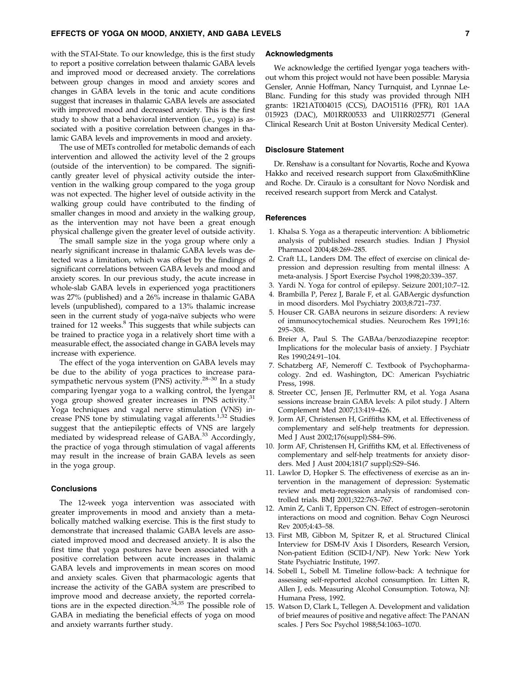with the STAI-State. To our knowledge, this is the first study to report a positive correlation between thalamic GABA levels and improved mood or decreased anxiety. The correlations between group changes in mood and anxiety scores and changes in GABA levels in the tonic and acute conditions suggest that increases in thalamic GABA levels are associated with improved mood and decreased anxiety. This is the first study to show that a behavioral intervention (i.e., yoga) is associated with a positive correlation between changes in thalamic GABA levels and improvements in mood and anxiety.

The use of METs controlled for metabolic demands of each intervention and allowed the activity level of the 2 groups (outside of the intervention) to be compared. The significantly greater level of physical activity outside the intervention in the walking group compared to the yoga group was not expected. The higher level of outside activity in the walking group could have contributed to the finding of smaller changes in mood and anxiety in the walking group, as the intervention may not have been a great enough physical challenge given the greater level of outside activity.

The small sample size in the yoga group where only a nearly significant increase in thalamic GABA levels was detected was a limitation, which was offset by the findings of significant correlations between GABA levels and mood and anxiety scores. In our previous study, the acute increase in whole-slab GABA levels in experienced yoga practitioners was 27% (published) and a 26% increase in thalamic GABA levels (unpublished), compared to a 13% thalamic increase seen in the current study of yoga-naïve subjects who were trained for 12 weeks.<sup>8</sup> This suggests that while subjects can be trained to practice yoga in a relatively short time with a measurable effect, the associated change in GABA levels may increase with experience.

The effect of the yoga intervention on GABA levels may be due to the ability of yoga practices to increase parasympathetic nervous system (PNS) activity.<sup>28–30</sup> In a study comparing Iyengar yoga to a walking control, the Iyengar yoga group showed greater increases in PNS activity.<sup>31</sup> Yoga techniques and vagal nerve stimulation (VNS) increase PNS tone by stimulating vagal afferents.<sup>1,32</sup> Studies suggest that the antiepileptic effects of VNS are largely mediated by widespread release of GABA.<sup>33</sup> Accordingly, the practice of yoga through stimulation of vagal afferents may result in the increase of brain GABA levels as seen in the yoga group.

#### **Conclusions**

The 12-week yoga intervention was associated with greater improvements in mood and anxiety than a metabolically matched walking exercise. This is the first study to demonstrate that increased thalamic GABA levels are associated improved mood and decreased anxiety. It is also the first time that yoga postures have been associated with a positive correlation between acute increases in thalamic GABA levels and improvements in mean scores on mood and anxiety scales. Given that pharmacologic agents that increase the activity of the GABA system are prescribed to improve mood and decrease anxiety, the reported correlations are in the expected direction. $34,35$  The possible role of GABA in mediating the beneficial effects of yoga on mood and anxiety warrants further study.

## Acknowledgments

We acknowledge the certified Iyengar yoga teachers without whom this project would not have been possible: Marysia Gensler, Annie Hoffman, Nancy Turnquist, and Lynnae Le-Blanc. Funding for this study was provided through NIH grants: 1R21AT004015 (CCS), DAO15116 (PFR), R01 1AA 015923 (DAC), M01RR00533 and Ul1RR025771 (General Clinical Research Unit at Boston University Medical Center).

## Disclosure Statement

Dr. Renshaw is a consultant for Novartis, Roche and Kyowa Hakko and received research support from GlaxoSmithKline and Roche. Dr. Ciraulo is a consultant for Novo Nordisk and received research support from Merck and Catalyst.

#### References

- 1. Khalsa S. Yoga as a therapeutic intervention: A bibliometric analysis of published research studies. Indian J Physiol Pharmacol 2004;48:269–285.
- 2. Craft LL, Landers DM. The effect of exercise on clinical depression and depression resulting from mental illness: A meta-analysis. J Sport Exercise Psychol 1998;20:339–357.
- 3. Yardi N. Yoga for control of epilepsy. Seizure 2001;10:7–12.
- 4. Brambilla P, Perez J, Barale F, et al. GABAergic dysfunction in mood disorders. Mol Psychiatry 2003;8:721–737.
- 5. Houser CR. GABA neurons in seizure disorders: A review of immunocytochemical studies. Neurochem Res 1991;16: 295–308.
- 6. Breier A, Paul S. The GABAa/benzodiazepine receptor: Implications for the molecular basis of anxiety. J Psychiatr Res 1990;24:91–104.
- 7. Schatzberg AF, Nemeroff C. Textbook of Psychopharmacology. 2nd ed. Washington, DC: American Psychiatric Press, 1998.
- 8. Streeter CC, Jensen JE, Perlmutter RM, et al. Yoga Asana sessions increase brain GABA levels: A pilot study. J Altern Complement Med 2007;13:419–426.
- 9. Jorm AF, Christensen H, Griffiths KM, et al. Effectiveness of complementary and self-help treatments for depression. Med J Aust 2002;176(suppl):S84–S96.
- 10. Jorm AF, Christensen H, Griffiths KM, et al. Effectiveness of complementary and self-help treatments for anxiety disorders. Med J Aust 2004;181(7 suppl):S29–S46.
- 11. Lawlor D, Hopker S. The effectiveness of exercise as an intervention in the management of depression: Systematic review and meta-regression analysis of randomised controlled trials. BMJ 2001;322:763–767.
- 12. Amin Z, Canli T, Epperson CN. Effect of estrogen–serotonin interactions on mood and cognition. Behav Cogn Neurosci Rev 2005;4:43–58.
- 13. First MB, Gibbon M, Spitzer R, et al. Structured Clinical Interview for DSM-IV Axis I Disorders, Research Version, Non-patient Edition (SCID-I/NP). New York: New York State Psychiatric Institute, 1997.
- 14. Sobell L, Sobell M. Timeline follow-back: A technique for assessing self-reported alcohol consumption. In: Litten R, Allen J, eds. Measuring Alcohol Consumption. Totowa, NJ: Humana Press, 1992.
- 15. Watson D, Clark L, Tellegen A. Development and validation of brief meaures of positive and negative affect: The PANAN scales. J Pers Soc Psychol 1988;54:1063–1070.